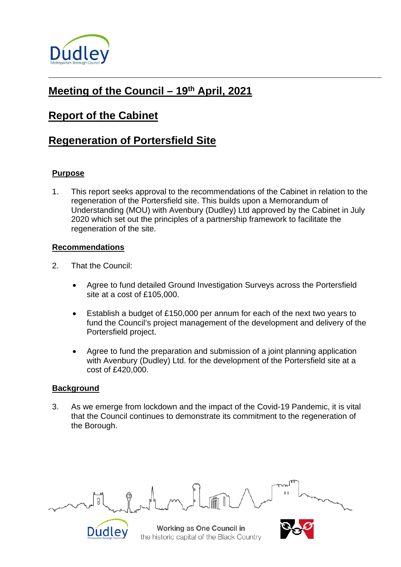

# **Meeting of the Council – 19th April, 2021**

## **Report of the Cabinet**

## **Regeneration of Portersfield Site**

### **Purpose**

1. This report seeks approval to the recommendations of the Cabinet in relation to the regeneration of the Portersfield site. This builds upon a Memorandum of Understanding (MOU) with Avenbury (Dudley) Ltd approved by the Cabinet in July 2020 which set out the principles of a partnership framework to facilitate the regeneration of the site.

#### **Recommendations**

- 2. That the Council:
	- Agree to fund detailed Ground Investigation Surveys across the Portersfield site at a cost of £105,000.
	- Establish a budget of £150,000 per annum for each of the next two years to fund the Council's project management of the development and delivery of the Portersfield project.
	- Agree to fund the preparation and submission of a joint planning application with Avenbury (Dudley) Ltd. for the development of the Portersfield site at a cost of £420,000.

### **Background**

Dudley

3. As we emerge from lockdown and the impact of the Covid-19 Pandemic, it is vital that the Council continues to demonstrate its commitment to the regeneration of the Borough.

Working as One Council in the historic capital of the Black Country

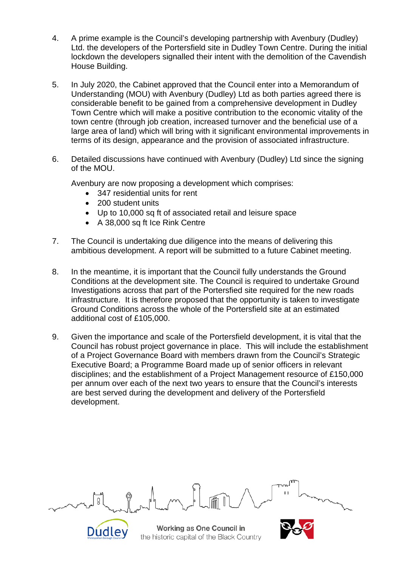- 4. A prime example is the Council's developing partnership with Avenbury (Dudley) Ltd. the developers of the Portersfield site in Dudley Town Centre. During the initial lockdown the developers signalled their intent with the demolition of the Cavendish House Building.
- 5. In July 2020, the Cabinet approved that the Council enter into a Memorandum of Understanding (MOU) with Avenbury (Dudley) Ltd as both parties agreed there is considerable benefit to be gained from a comprehensive development in Dudley Town Centre which will make a positive contribution to the economic vitality of the town centre (through job creation, increased turnover and the beneficial use of a large area of land) which will bring with it significant environmental improvements in terms of its design, appearance and the provision of associated infrastructure.
- 6. Detailed discussions have continued with Avenbury (Dudley) Ltd since the signing of the MOU.

Avenbury are now proposing a development which comprises:

- 347 residential units for rent
- 200 student units

Dudley

- Up to 10,000 sq ft of associated retail and leisure space
- A 38,000 sq ft Ice Rink Centre
- 7. The Council is undertaking due diligence into the means of delivering this ambitious development. A report will be submitted to a future Cabinet meeting.
- 8. In the meantime, it is important that the Council fully understands the Ground Conditions at the development site. The Council is required to undertake Ground Investigations across that part of the Portersfied site required for the new roads infrastructure. It is therefore proposed that the opportunity is taken to investigate Ground Conditions across the whole of the Portersfield site at an estimated additional cost of £105,000.
- 9. Given the importance and scale of the Portersfield development, it is vital that the Council has robust project governance in place. This will include the establishment of a Project Governance Board with members drawn from the Council's Strategic Executive Board; a Programme Board made up of senior officers in relevant disciplines; and the establishment of a Project Management resource of £150,000 per annum over each of the next two years to ensure that the Council's interests are best served during the development and delivery of the Portersfield development.

Working as One Council in the historic capital of the Black Country

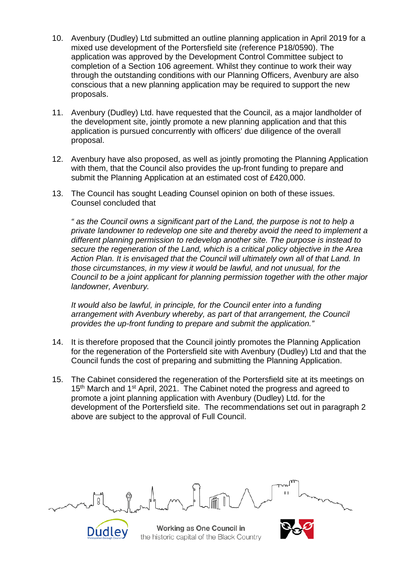- 10. Avenbury (Dudley) Ltd submitted an outline planning application in April 2019 for a mixed use development of the Portersfield site (reference P18/0590). The application was approved by the Development Control Committee subject to completion of a Section 106 agreement. Whilst they continue to work their way through the outstanding conditions with our Planning Officers, Avenbury are also conscious that a new planning application may be required to support the new proposals.
- 11. Avenbury (Dudley) Ltd. have requested that the Council, as a major landholder of the development site, jointly promote a new planning application and that this application is pursued concurrently with officers' due diligence of the overall proposal.
- 12. Avenbury have also proposed, as well as jointly promoting the Planning Application with them, that the Council also provides the up-front funding to prepare and submit the Planning Application at an estimated cost of £420,000.
- 13. The Council has sought Leading Counsel opinion on both of these issues. Counsel concluded that

*" as the Council owns a significant part of the Land, the purpose is not to help a private landowner to redevelop one site and thereby avoid the need to implement a different planning permission to redevelop another site. The purpose is instead to secure the regeneration of the Land, which is a critical policy objective in the Area Action Plan. It is envisaged that the Council will ultimately own all of that Land. In those circumstances, in my view it would be lawful, and not unusual, for the Council to be a joint applicant for planning permission together with the other major landowner, Avenbury.*

*It would also be lawful, in principle, for the Council enter into a funding arrangement with Avenbury whereby, as part of that arrangement, the Council provides the up-front funding to prepare and submit the application."*

- 14. It is therefore proposed that the Council jointly promotes the Planning Application for the regeneration of the Portersfield site with Avenbury (Dudley) Ltd and that the Council funds the cost of preparing and submitting the Planning Application.
- 15. The Cabinet considered the regeneration of the Portersfield site at its meetings on 15<sup>th</sup> March and 1<sup>st</sup> April, 2021. The Cabinet noted the progress and agreed to promote a joint planning application with Avenbury (Dudley) Ltd. for the development of the Portersfield site. The recommendations set out in paragraph 2 above are subject to the approval of Full Council.

Working as One Council in the historic capital of the Black Country

Dudley

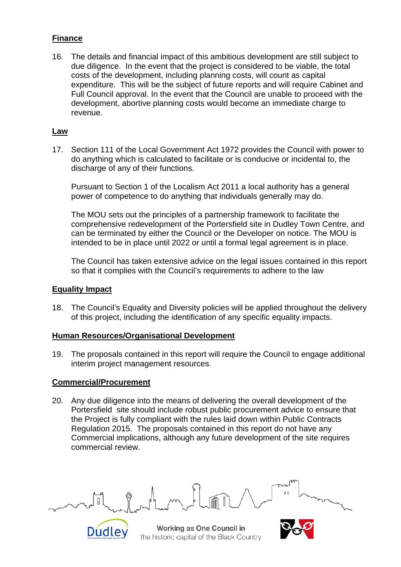### **Finance**

16. The details and financial impact of this ambitious development are still subject to due diligence. In the event that the project is considered to be viable, the total costs of the development, including planning costs, will count as capital expenditure. This will be the subject of future reports and will require Cabinet and Full Council approval. In the event that the Council are unable to proceed with the development, abortive planning costs would become an immediate charge to revenue.

#### **Law**

17. Section 111 of the Local Government Act 1972 provides the Council with power to do anything which is calculated to facilitate or is conducive or incidental to, the discharge of any of their functions.

Pursuant to Section 1 of the Localism Act 2011 a local authority has a general power of competence to do anything that individuals generally may do.

The MOU sets out the principles of a partnership framework to facilitate the comprehensive redevelopment of the Portersfield site in Dudley Town Centre, and can be terminated by either the Council or the Developer on notice. The MOU is intended to be in place until 2022 or until a formal legal agreement is in place.

The Council has taken extensive advice on the legal issues contained in this report so that it complies with the Council's requirements to adhere to the law

### **Equality Impact**

18. The Council's Equality and Diversity policies will be applied throughout the delivery of this project, including the identification of any specific equality impacts.

#### **Human Resources/Organisational Development**

19. The proposals contained in this report will require the Council to engage additional interim project management resources.

#### **Commercial/Procurement**

Dudley

20. Any due diligence into the means of delivering the overall development of the Portersfield site should include robust public procurement advice to ensure that the Project is fully compliant with the rules laid down within Public Contracts Regulation 2015. The proposals contained in this report do not have any Commercial implications, although any future development of the site requires commercial review.

Working as One Council in the historic capital of the Black Country